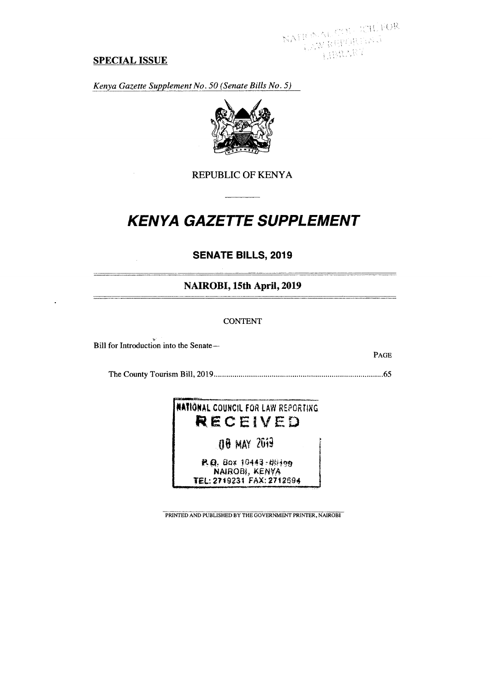NATE NAL CON - KIL FOR<br>|-<br>| AW ROPORTAS  $W_{\ell, \Omega_{\ell, \ell}}$ 

PAGE

### **SPECIAL ISSUE**

*Kenya Gazette Supplement No. 50 (Senate Bills No. 5)* 



## REPUBLIC OF KENYA

# **KENYA GAZETTE SUPPLEMENT**

## **SENATE BILLS, 2019**

## **NAIROBI, 15th April, 2019**

#### CONTENT

Bill for Introduction into the Senate—

The County Tourism Bill, 2019 65

## **NAtiONAL** COUNCIL FOR LAW REPORTING **RECEIVED**

**00 MAY** N9

**P.Q.** 8ox 10443 - 00199 NAIR0N, TEL: 2719?31 FAX:271204

PRINTED AND PUBLISHED BY THE GOVERNMENT PRINTER, NAIROBI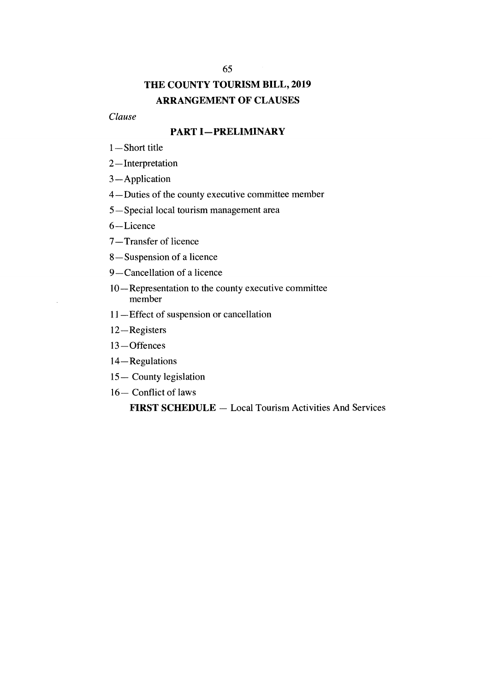#### 65

## **THE COUNTY TOURISM BILL, 2019 ARRANGEMENT OF CLAUSES**

*Clause* 

## **PART I—PRELIMINARY**

- 1 —Short title
- 2—Interpretation
- 3 —Application
- 4—Duties of the county executive committee member
- 5—Special local tourism management area
- 6—Licence
- 7—Transfer of licence
- 8—Suspension of a licence
- 9—Cancellation of a licence
- 10—Representation to the county executive committee member
- 11—Effect of suspension or cancellation
- 12—Registers
- 13—Offences
- 14—Regulations
- 15— County legislation
- 16— Conflict of laws

**FIRST SCHEDULE —** Local Tourism Activities And Services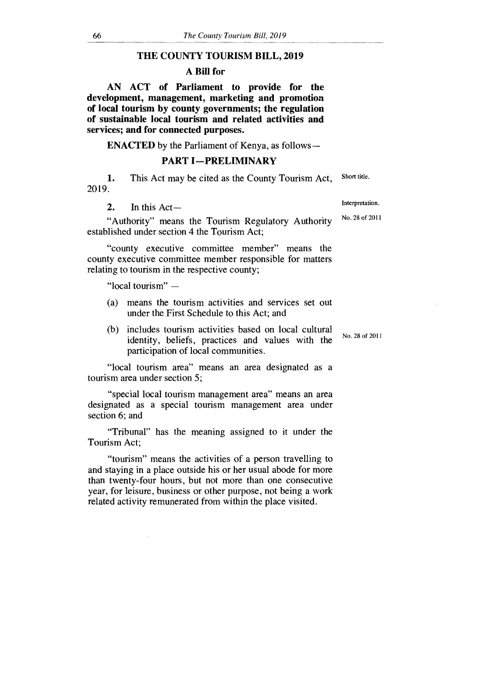#### **THE COUNTY TOURISM BILL, 2019**

#### **A Bill for**

**AN ACT of Parliament to provide for the development, management, marketing and promotion of local tourism by county governments; the regulation of sustainable local tourism and related activities and services; and for connected purposes.** 

**ENACTED** by the Parliament of Kenya, as follows**—**

#### **PART I—PRELIMINARY**

1. This Act may be cited as the County Tourism Act, 2019. Short title.

2. In this  $Act-$ 

"Authority" means the Tourism Regulatory Authority established under section 4 the Tourism Act;

"county executive committee member" means the county executive committee member responsible for matters relating to tourism in the respective county;

"local tourism" —

- (a) means the tourism activities and services set out under the First Schedule to this Act; and
- (b) includes tourism activities based on local cultural identity, beliefs, practices and values with the participation of local communities.

"local tourism area" means an area designated as a tourism area under section 5;

"special local tourism management area" means an area designated as a special tourism management area under section 6; and

"Tribunal" has the meaning assigned to it under the Tourism Act;

"tourism" means the activities of a person travelling to and staying in a place outside his or her usual abode for more than twenty-four hours, but not more than one consecutive year, for leisure, business or other purpose, not being a work related activity remunerated from within the place visited.

No. 28 of 2011

Interpretation.

No. 28 of 2011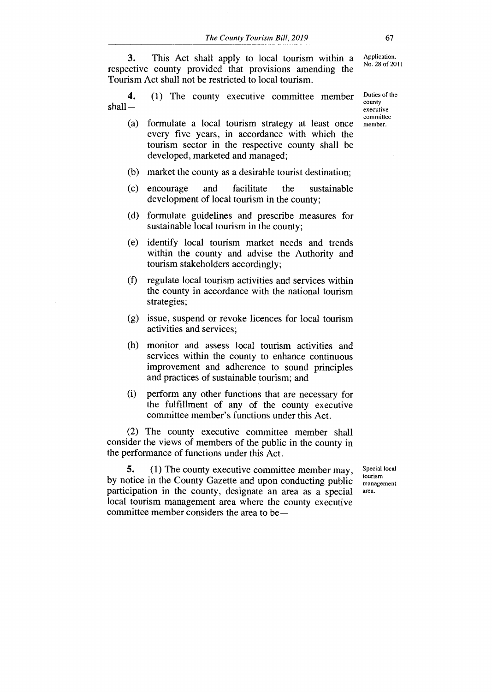**3.** This Act shall apply to local tourism within a respective county provided that provisions amending the Tourism Act shall not be restricted to local tourism.

**4.** (1) The county executive committee member Duties of the shall—

- (a) formulate a local tourism strategy at least once member. every five years, in accordance with which the tourism sector in the respective county shall be developed, marketed and managed;
- (b) market the county as a desirable tourist destination;
- (c) encourage and facilitate the sustainable development of local tourism in the county;
- (d) formulate guidelines and prescribe measures for sustainable local tourism in the county;
- (e) identify local tourism market needs and trends within the county and advise the Authority and tourism stakeholders accordingly;
- (f) regulate local tourism activities and services within the county in accordance with the national tourism strategies;
- (g) issue, suspend or revoke licences for local tourism activities and services;
- (h) monitor and assess local tourism activities and services within the county to enhance continuous improvement and adherence to sound principles and practices of sustainable tourism; and
- perform any other functions that are necessary for the fulfillment of any of the county executive committee member's functions under this Act. (i)

(2) The county executive committee member shall consider the views of members of the public in the county in the performance of functions under this Act.

**5.** (1) The county executive committee member may, by notice in the County Gazette and upon conducting public participation in the county, designate an area as a special local tourism management area where the county executive committee member considers the area to be—

Special local tourism management area.

Application. No. 28 of 2011

county executive committee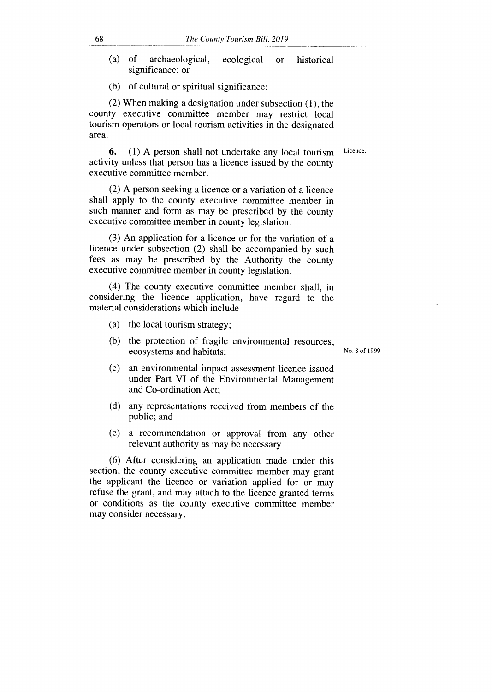- (a) of archaeological, ecological or historical significance; or
- (b) of cultural or spiritual significance;

(2) When making a designation under subsection (1), the county executive committee member may restrict local tourism operators or local tourism activities in the designated area.

**6.** (1) A person shall not undertake any local tourism activity unless that person has a licence issued by the county executive committee member. Licence.

(2) A person seeking a licence or a variation of a licence shall apply to the county executive committee member in such manner and form as may be prescribed by the county executive committee member in county legislation.

(3) An application for a licence or for the variation of a licence under subsection (2) shall be accompanied by such fees as may be prescribed by the Authority the county executive committee member in county legislation.

(4) The county executive committee member shall, in considering the licence application, have regard to the material considerations which include —

- (a) the local tourism strategy;
- (b) the protection of fragile environmental resources, ecosystems and habitats;

No. 8 of 1999

- (c) an environmental impact assessment licence issued under Part VI of the Environmental Management and Co-ordination Act;
- (d) any representations received from members of the public; and
- (e) a recommendation or approval from any other relevant authority as may be necessary.

(6) After considering an application made under this section, the county executive committee member may grant the applicant the licence or variation applied for or may refuse the grant, and may attach to the licence granted terms or conditions as the county executive committee member may consider necessary.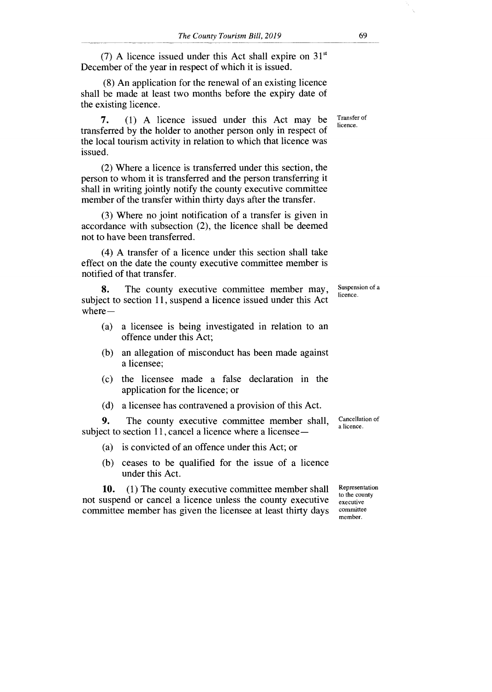(7) A licence issued under this Act shall expire on  $31<sup>st</sup>$ December of the year in respect of which it is issued.

(8) An application for the renewal of an existing licence shall be made at least two months before the expiry date of the existing licence.

**7.** (1) A licence issued under this Act may be transferred by the holder to another person only in respect of the local tourism activity in relation to which that licence was issued.

(2) Where a licence is transferred under this section, the person to whom it is transferred and the person transferring it shall in writing jointly notify the county executive committee member of the transfer within thirty days after the transfer.

(3) Where no joint notification of a transfer is given in accordance with subsection (2), the licence shall be deemed not to have been transferred.

(4) A transfer of a licence under this section shall take effect on the date the county executive committee member is notified of that transfer.

**8.** The county executive committee member may, subject to section 11, suspend a licence issued under this Act where— Suspension of a licence.

- (a) a licensee is being investigated in relation to an offence under this Act;
- (b) an allegation of misconduct has been made against a licensee;
- (c) the licensee made a false declaration in the application for the licence; or
- (d) a licensee has contravened a provision of this Act.

**9.** The county executive committee member shall, subject to section 11, cancel a licence where a licensee —

- (a) is convicted of an offence under this Act; or
- (b) ceases to be qualified for the issue of a licence under this Act.

10. (1) The county executive committee member shall not suspend or cancel a licence unless the county executive committee member has given the licensee at least thirty days

Cancellation of a licence.

Representation to the county executive committee member.

Transfer of licence.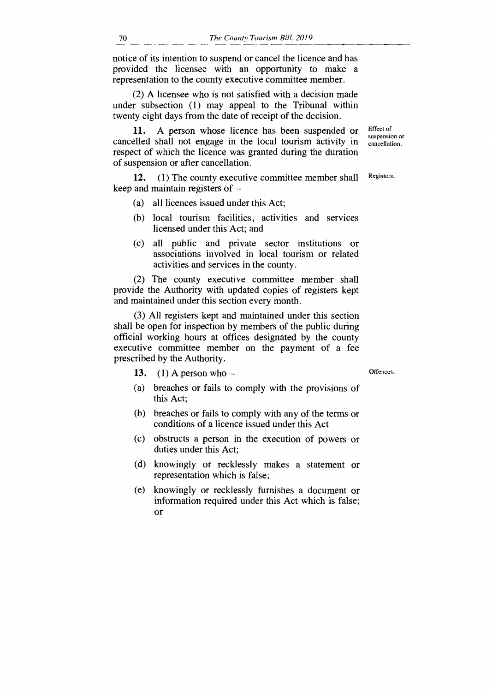notice of its intention to suspend or cancel the licence and has provided the licensee with an opportunity to make a representation to the county executive committee member.

(2) A licensee who is not satisfied with a decision made under subsection (1) may appeal to the Tribunal within twenty eight days from the date of receipt of the decision.

11. A person whose licence has been suspended or cancelled shall not engage in the local tourism activity in respect of which the licence was granted during the duration of suspension or after cancellation.

12. (1) The county executive committee member shall Registers. keep and maintain registers of —

- (a) all licences issued under this Act;
- (b) local tourism facilities, activities and services licensed under this Act; and
- (c) all public and private sector institutions or associations involved in local tourism or related activities and services in the county.

(2) The county executive committee member shall provide the Authority with updated copies of registers kept and maintained under this section every month.

(3) All registers kept and maintained under this section shall be open for inspection by members of the public during official working hours at offices designated by the county executive committee member on the payment of a fee prescribed by the Authority.

- 13. (1) A person who Offences.
- (a) breaches or fails to comply with the provisions of this Act;
- (b) breaches or fails to comply with any of the terms or conditions of a licence issued under this Act
- (c) obstructs a person in the execution of powers or duties under this Act;
- (d) knowingly or recklessly makes a statement or representation which is false;
- (e) knowingly or recklessly furnishes a document or information required under this Act which is false; or

Effect of suspension or cancellation.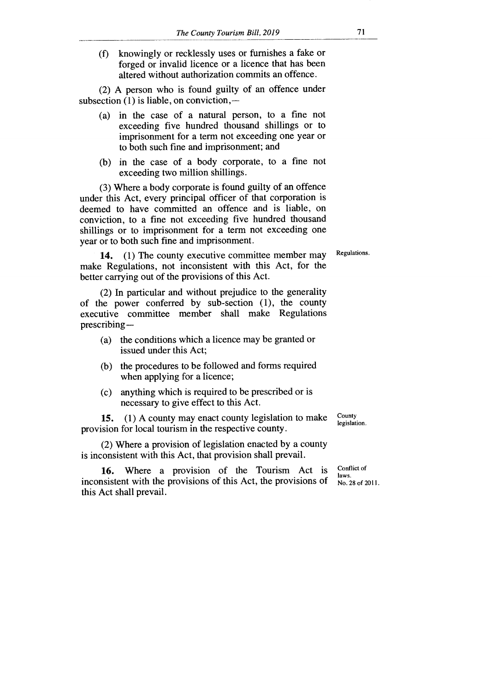(f) knowingly or recklessly uses or furnishes a fake or forged or invalid licence or a licence that has been altered without authorization commits an offence.

(2) A person who is found guilty of an offence under subsection (1) is liable, on conviction,-

- (a) in the case of a natural person, to a fine not exceeding five hundred thousand shillings or to imprisonment for a term not exceeding one year or to both such fine and imprisonment; and
- (b) in the case of a body corporate, to a fine not exceeding two million shillings.

(3) Where a body corporate is found guilty of an offence under this Act, every principal officer of that corporation is deemed to have committed an offence and is liable, on conviction, to a fine not exceeding five hundred thousand shillings or to imprisonment for a term not exceeding one year or to both such fine and imprisonment.

Regulations.

**14.** (1) The county executive committee member may make Regulations, not inconsistent with this Act, for the better carrying out of the provisions of this Act.

(2) In particular and without prejudice to the generality of the power conferred by sub-section (1), the county executive committee member shall make Regulations prescribing—

- (a) the conditions which a licence may be granted or issued under this Act;
- (b) the procedures to be followed and forms required when applying for a licence;
- (c) anything which is required to be prescribed or is necessary to give effect to this Act.

**15.** (1) A county may enact county legislation to make provision for local tourism in the respective county.

County legislation.

(2) Where a provision of legislation enacted by a county is inconsistent with this Act, that provision shall prevail.

**16.** Where a provision of the Tourism Act is inconsistent with the provisions of this Act, the provisions of this Act shall prevail.

Conflict of laws. No. 28 of 2011.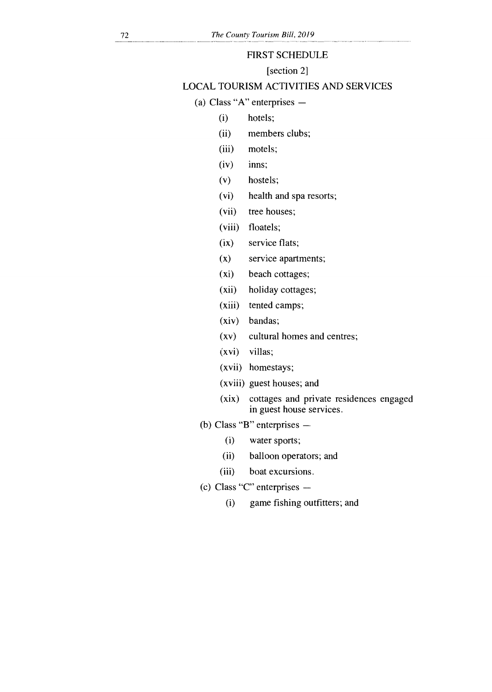#### FIRST SCHEDULE

[section 2]

## LOCAL TOURISM ACTIVITIES AND SERVICES

(a) Class "A" enterprises —

- (i) hotels;
- (ii) members clubs;
- (iii) motels;
- (iv) inns;
- (v) hostels;
- (vi) health and spa resorts;
- (vii) tree houses;
- (viii) floatels;
- (ix) service flats;
- (x) service apartments;
- (xi) beach cottages;
- (xii) holiday cottages;
- (xiii) tented camps;
- (xiv) bandas;
- (xv) cultural homes and centres;
- (xvi) villas;
- (xvii) homestays;
- (xviii) guest houses; and
- (xix) cottages and private residences engaged in guest house services.
- (b) Class "B" enterprises
	- (i) water sports;
	- (ii) balloon operators; and
	- (iii) boat excursions.
- (c) Class "C" enterprises
	- (i) game fishing outfitters; and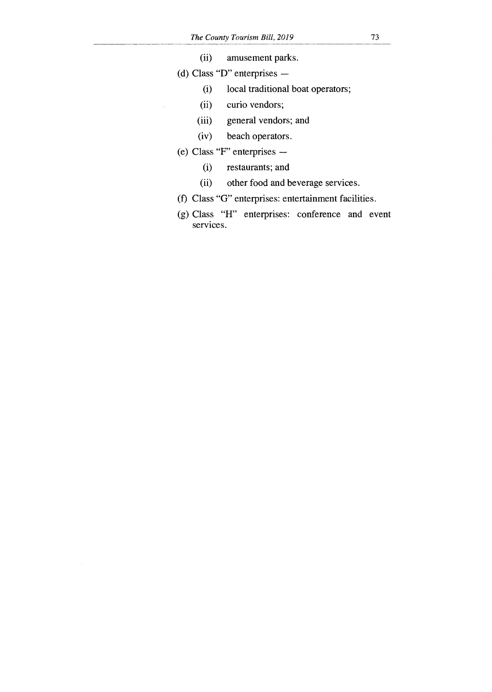- (ii) amusement parks.
- (d) Class "D" enterprises
	- (i) local traditional boat operators;
	- (ii) curio vendors;
	- (iii) general vendors; and
	- (iv) beach operators.
- (e) Class "F" enterprises
	- (i) restaurants; and
	- (ii) other food and beverage services.
- (f) Class "G" enterprises: entertainment facilities.
- (g) Class "H" enterprises: conference and event services.